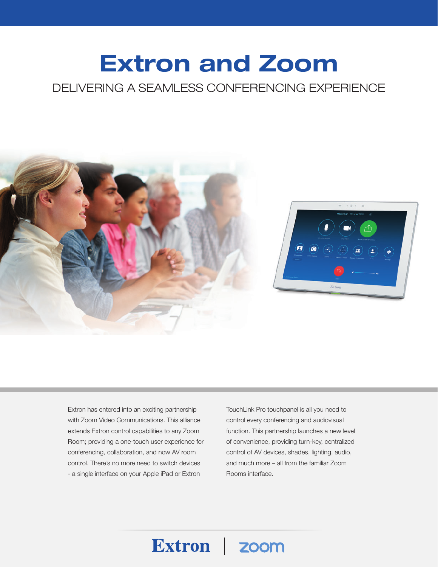# Extron and Zoom

## DELIVERING A SEAMLESS CONFERENCING EXPERIENCE



Extron zoom

Extron has entered into an exciting partnership with Zoom Video Communications. This alliance extends Extron control capabilities to any Zoom Room; providing a one-touch user experience for conferencing, collaboration, and now AV room control. There's no more need to switch devices - a single interface on your Apple iPad or Extron

TouchLink Pro touchpanel is all you need to control every conferencing and audiovisual function. This partnership launches a new level of convenience, providing turn-key, centralized control of AV devices, shades, lighting, audio, and much more – all from the familiar Zoom Rooms interface.